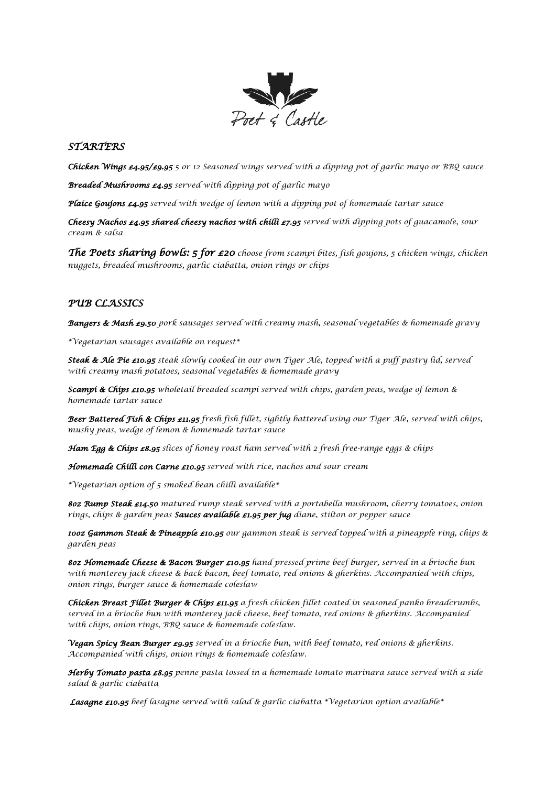

## *STARTERS*

*Chicken Wings £4.95/£9.95 5 or 12 Seasoned wings served with a dipping pot of garlic mayo or BBQ sauce*

*Breaded Mushrooms £4.95 served with dipping pot of garlic mayo*

*Plaice Goujons £4.95 served with wedge of lemon with a dipping pot of homemade tartar sauce* 

*Cheesy Nachos £4.95 shared cheesy nachos with chilli £7.95 served with dipping pots of guacamole, sour cream & salsa*

*The Poets sharing bowls: 5 for £20 choose from scampi bites, fish goujons, 5 chicken wings, chicken nuggets, breaded mushrooms, garlic ciabatta, onion rings or chips*

## *PUB CLASSICS*

*Bangers & Mash £9.50 pork sausages served with creamy mash, seasonal vegetables & homemade gravy*

*\*Vegetarian sausages available on request\** 

*Steak & Ale Pie £10.95 steak slowly cooked in our own Tiger Ale, topped with a puff pastry lid, served with creamy mash potatoes, seasonal vegetables & homemade gravy*

*Scampi & Chips £10.95 wholetail breaded scampi served with chips, garden peas, wedge of lemon & homemade tartar sauce*

*Beer Battered Fish & Chips £11.95 fresh fish fillet, sightly battered using our Tiger Ale, served with chips, mushy peas, wedge of lemon & homemade tartar sauce*

*Ham Egg & Chips £8.95 slices of honey roast ham served with 2 fresh free-range eggs & chips*

*Homemade Chilli con Carne £10.95 served with rice, nachos and sour cream*

*\*Vegetarian option of 5 smoked bean chilli available\** 

*8oz Rump Steak £14.50 matured rump steak served with a portabella mushroom, cherry tomatoes, onion rings, chips & garden peas Sauces available £1.95 per jug diane, stilton or pepper sauce* 

*10oz Gammon Steak & Pineapple £10.95 our gammon steak is served topped with a pineapple ring, chips & garden peas*

*8oz Homemade Cheese & Bacon Burger £10.95 hand pressed prime beef burger, served in a brioche bun with monterey jack cheese & back bacon, beef tomato, red onions & gherkins. Accompanied with chips, onion rings, burger sauce & homemade coleslaw*

*Chicken Breast Fillet Burger & Chips £11.95 a fresh chicken fillet coated in seasoned panko breadcrumbs, served in a brioche bun with monterey jack cheese, beef tomato, red onions & gherkins. Accompanied with chips, onion rings, BBQ sauce & homemade coleslaw.*

*Vegan Spicy Bean Burger £9.95 served in a brioche bun, with beef tomato, red onions & gherkins. Accompanied with chips, onion rings & homemade coleslaw.*

*Herby Tomato pasta £8.95 penne pasta tossed in a homemade tomato marinara sauce served with a side salad & garlic ciabatta*

*Lasagne £10.95 beef lasagne served with salad & garlic ciabatta \*Vegetarian option available\**